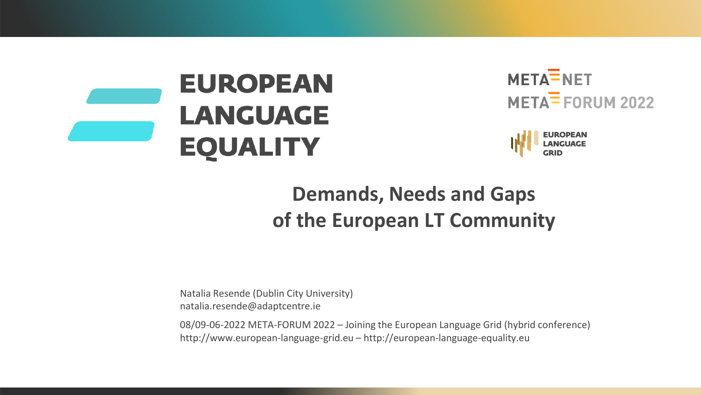

META<sup>T</sup>NET  $META = FORM 2022$ 



# **Demands, Needs and Gaps of the European LT Community**

Natalia Resende (Dublin City University) natalia.resende@adaptcentre.ie

08/09-06-2022 META-FORUM 2022 – Joining the European Language Grid (hybrid conference) http://www.european-language-grid.eu – http://european-language-equality.eu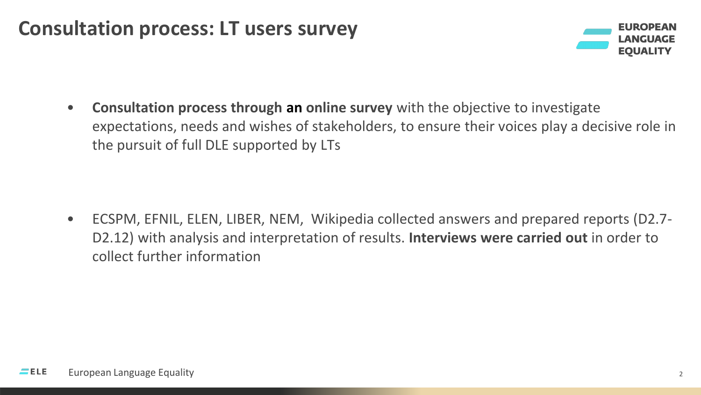#### **Consultation process: LT users survey**



• **Consultation process through an online survey** with the objective to investigate expectations, needs and wishes of stakeholders, to ensure their voices play a decisive role in the pursuit of full DLE supported by LTs

• ECSPM, EFNIL, ELEN, LIBER, NEM, Wikipedia collected answers and prepared reports (D2.7- D2.12) with analysis and interpretation of results. **Interviews were carried out** in order to collect further information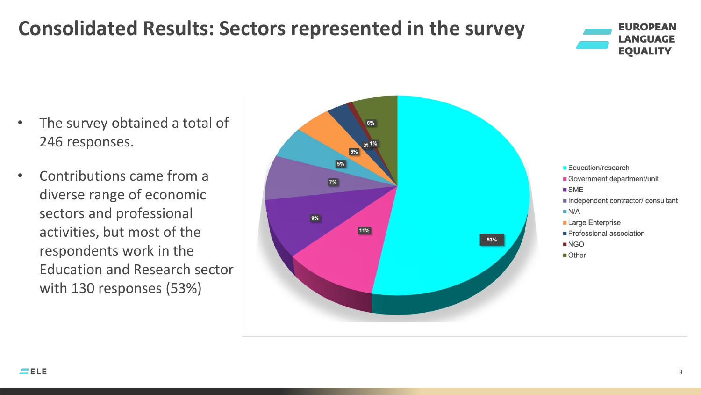# **Consolidated Results: Sectors represented in the survey**



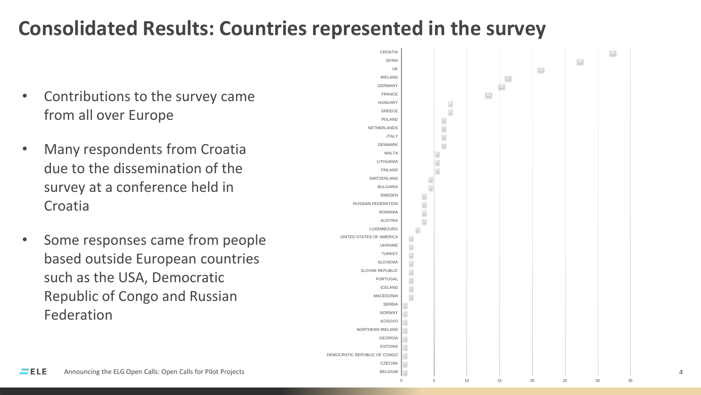# **Consolidated Results: Countries represented in the survey**

- Contributions to the survey came from all over Europe
- Many respondents from Croatia due to the dissemination of the survey at a conference held in Croatia
- Some responses came from people based outside European countries such as the USA, Democratic Republic of Congo and Russian Federation

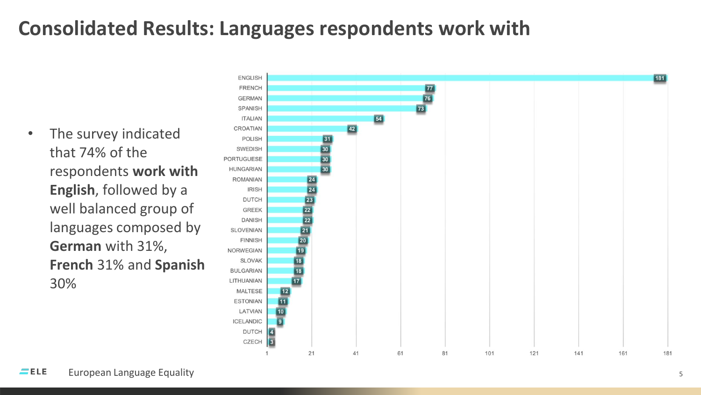# **Consolidated Results: Languages respondents work with**

The survey indicated that 74% of the respondents **work with English**, followed by a well balanced group of languages composed by **German** with 31%, **French** 31% and **Spanish** 30%

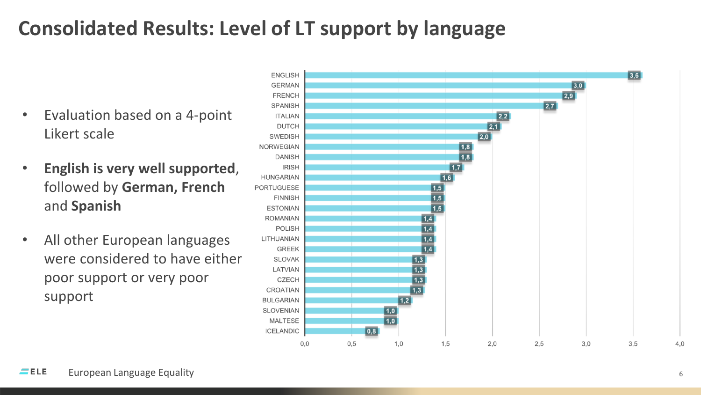# **Consolidated Results: Level of LT support by language**

- Evaluation based on a 4-point Likert scale
- **English is very well supported**, followed by **German, French**  and **Spanish**
- All other European languages were considered to have either poor support or very poor support

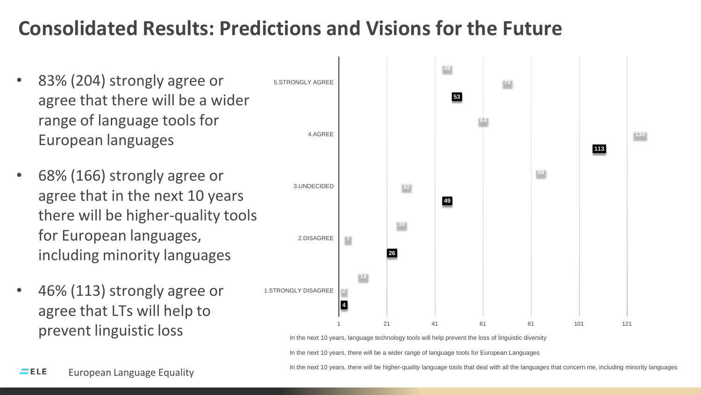# **Consolidated Results: Predictions and Visions for the Future**

- 83% (204) strongly agree or agree that there will be a wider range of language tools for European languages
- 68% (166) strongly agree or agree that in the next 10 years there will be higher-quality tools for European languages, including minority languages
- 46% (113) strongly agree or agree that LTs will help to prevent linguistic loss



In the next 10 years, there will be a wider range of language tools for European Languages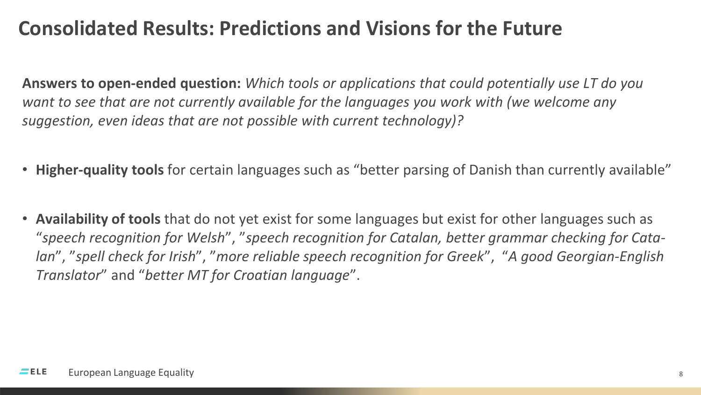## **Consolidated Results: Predictions and Visions for the Future**

**Answers to open-ended question:** *Which tools or applications that could potentially use LT do you want to see that are not currently available for the languages you work with (we welcome any suggestion, even ideas that are not possible with current technology)?*

- **Higher-quality tools** for certain languages such as "better parsing of Danish than currently available"
- **Availability of tools** that do not yet exist for some languages but exist for other languages such as "*speech recognition for Welsh*", "*speech recognition for Catalan, better grammar checking for Catalan*", "*spell check for Irish*", "*more reliable speech recognition for Greek*", "*A good Georgian-English Translator*" and "*better MT for Croatian language*".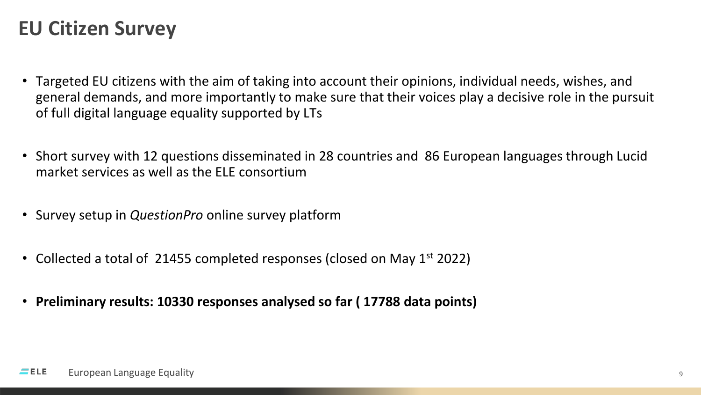#### **EU Citizen Survey**

- Targeted EU citizens with the aim of taking into account their opinions, individual needs, wishes, and general demands, and more importantly to make sure that their voices play a decisive role in the pursuit of full digital language equality supported by LTs
- Short survey with 12 questions disseminated in 28 countries and 86 European languages through Lucid market services as well as the ELE consortium
- Survey setup in *QuestionPro* online survey platform
- Collected a total of 21455 completed responses (closed on May  $1<sup>st</sup>$  2022)
- **Preliminary results: 10330 responses analysed so far ( 17788 data points)**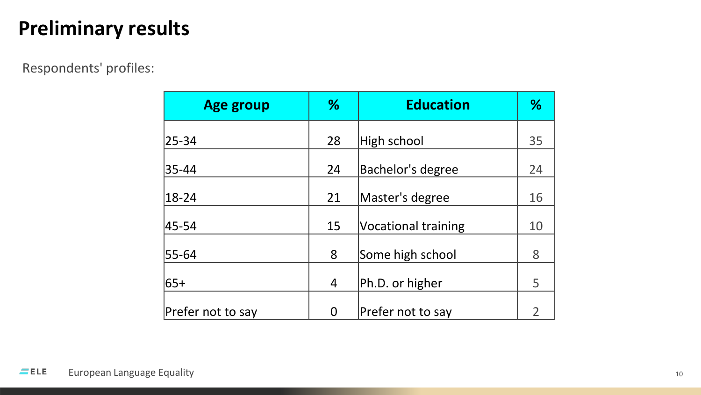#### Respondents' profiles:

| <b>Age group</b>  | %  | <b>Education</b>           | %  |
|-------------------|----|----------------------------|----|
| 25-34             | 28 | High school                | 35 |
| 35-44             | 24 | Bachelor's degree          | 24 |
| $ 18-24 $         | 21 | Master's degree            | 16 |
| 45-54             | 15 | <b>Vocational training</b> | 10 |
| 55-64             | 8  | Some high school           | 8  |
| l65+              | 4  | Ph.D. or higher            | 5  |
| Prefer not to say | 0  | Prefer not to say          | 2  |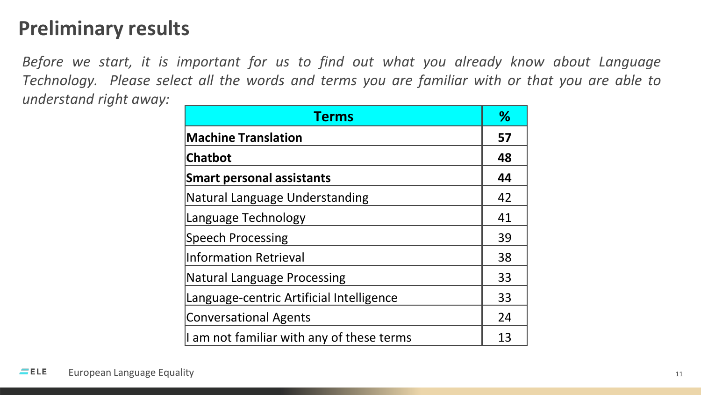*Before we start, it is important for us to find out what you already know about Language Technology. Please select all the words and terms you are familiar with or that you are able to understand right away:*

| <b>Terms</b>                              |    |
|-------------------------------------------|----|
| <b>Machine Translation</b>                |    |
| <b>Chatbot</b>                            |    |
| <b>Smart personal assistants</b>          | 44 |
| Natural Language Understanding            | 42 |
| Language Technology                       | 41 |
| Speech Processing                         | 39 |
| Information Retrieval                     | 38 |
| Natural Language Processing               | 33 |
| Language-centric Artificial Intelligence  | 33 |
| Conversational Agents                     |    |
| I am not familiar with any of these terms |    |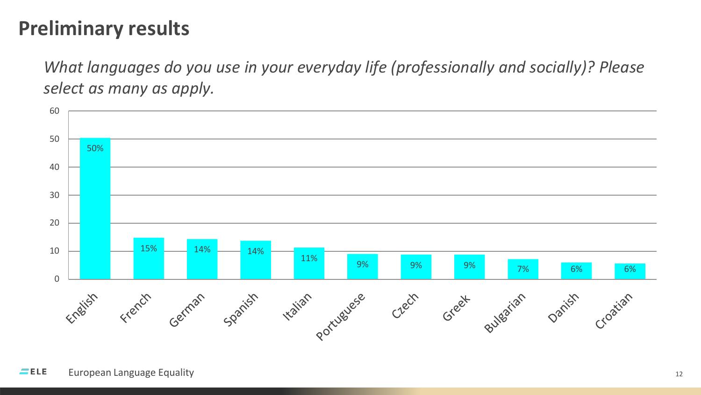*What languages do you use in your everyday life (professionally and socially)? Please select as many as apply.*

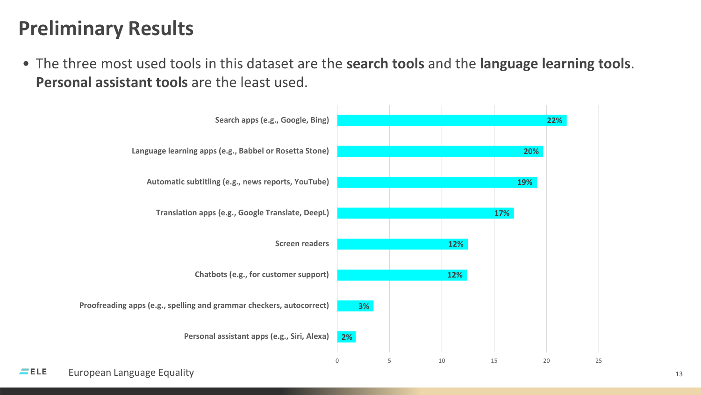• The three most used tools in this dataset are the **search tools** and the **language learning tools**. **Personal assistant tools** are the least used.

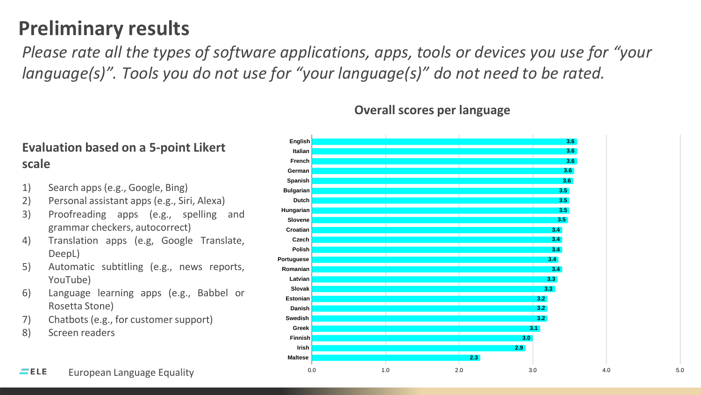*Please rate all the types of software applications, apps, tools or devices you use for "your language(s)". Tools you do not use for "your language(s)" do not need to be rated.* 

#### **Evaluation based on a 5-point Likert scale**

- 1) Search apps (e.g., Google, Bing)
- 2) Personal assistant apps (e.g., Siri, Alexa)
- 3) Proofreading apps (e.g., spelling and grammar checkers, autocorrect)
- 4) Translation apps (e.g, Google Translate, DeepL)
- 5) Automatic subtitling (e.g., news reports, YouTube)
- 6) Language learning apps (e.g., Babbel or Rosetta Stone)
- 7) Chatbots (e.g., for customer support)
- 8) Screen readers



#### **Overall scores per language**

 $EEE$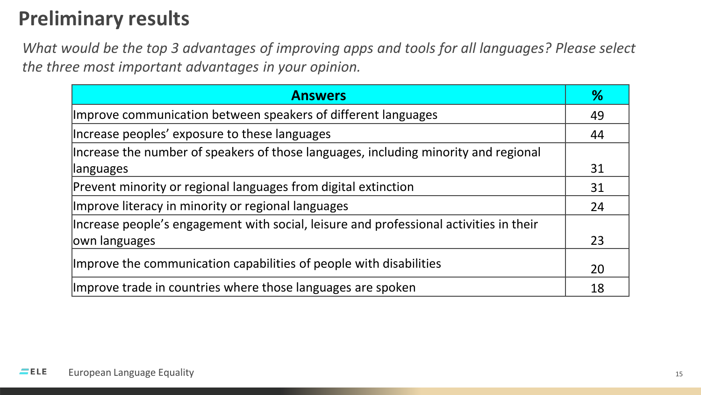*What would be the top 3 advantages of improving apps and tools for all languages? Please select the three most important advantages in your opinion.*

| <b>Answers</b>                                                                         | %  |
|----------------------------------------------------------------------------------------|----|
| Improve communication between speakers of different languages                          |    |
| Increase peoples' exposure to these languages                                          |    |
| Increase the number of speakers of those languages, including minority and regional    |    |
| languages                                                                              |    |
| Prevent minority or regional languages from digital extinction                         |    |
| Improve literacy in minority or regional languages                                     |    |
| Increase people's engagement with social, leisure and professional activities in their |    |
| own languages                                                                          | 23 |
| Improve the communication capabilities of people with disabilities                     |    |
| Improve trade in countries where those languages are spoken                            |    |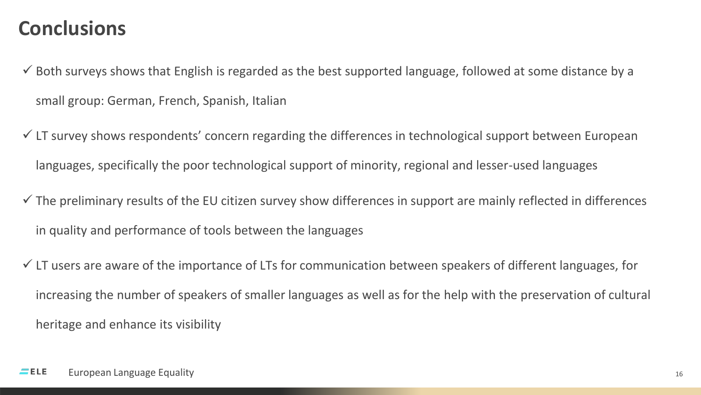#### **Conclusions**

- $\checkmark$  Both surveys shows that English is regarded as the best supported language, followed at some distance by a small group: German, French, Spanish, Italian
- $\checkmark$  LT survey shows respondents' concern regarding the differences in technological support between European languages, specifically the poor technological support of minority, regional and lesser-used languages
- $\checkmark$  The preliminary results of the EU citizen survey show differences in support are mainly reflected in differences in quality and performance of tools between the languages
- $\checkmark$  LT users are aware of the importance of LTs for communication between speakers of different languages, for increasing the number of speakers of smaller languages as well as for the help with the preservation of cultural heritage and enhance its visibility